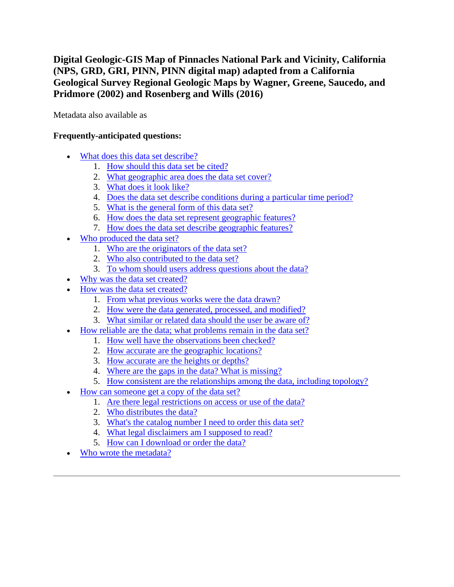**Digital Geologic-GIS Map of Pinnacles National Park and Vicinity, California (NPS, GRD, GRI, PINN, PINN digital map) adapted from a California Geological Survey Regional Geologic Maps by Wagner, Greene, Saucedo, and Pridmore (2002) and Rosenberg and Wills (2016)**

Metadata also available as

# **Frequently-anticipated questions:**

- [What does this data set describe?](#page-0-0)
	- 1. [How should this data set be cited?](#page-2-0)
	- 2. [What geographic area does the data set cover?](#page-2-1)
	- 3. [What does it look like?](#page-2-2)
	- 4. [Does the data set describe conditions during a particular time period?](#page-3-0)
	- 5. [What is the general form of this data set?](#page-3-1)
	- 6. [How does the data set represent geographic features?](#page-3-2)
	- 7. [How does the data set describe geographic features?](#page-3-3)
- [Who produced the data set?](#page-4-0)
	- 1. [Who are the originators of the data set?](#page-4-1)
	- 2. [Who also contributed to the data set?](#page-4-2)
	- 3. [To whom should users address questions about the data?](#page-4-3)
- [Why was the data set created?](#page-4-4)
- [How was the data set created?](#page-4-5)
	- 1. [From what previous works were the data drawn?](#page-4-6)
	- 2. [How were the data generated, processed, and modified?](#page-5-0)
	- 3. [What similar or related data should the user be aware of?](#page-6-0)
- [How reliable are the data; what problems remain in the data set?](#page-6-1)
	- 1. [How well have the observations been checked?](#page-6-2)
	- 2. [How accurate are the geographic locations?](#page-7-0)
	- 3. [How accurate are the heights or depths?](#page-7-1)
	- 4. [Where are the gaps in the data? What is missing?](#page-7-2)
	- 5. [How consistent are the relationships among the data, including topology?](#page-7-3)
- [How can someone get a copy of the data set?](#page-7-4)
	- 1. [Are there legal restrictions on access or use of the data?](#page-7-5)
	- 2. [Who distributes the data?](#page-8-0)
	- 3. [What's the catalog number I need to order this data set?](#page-8-1)
	- 4. [What legal disclaimers am I supposed to read?](#page-8-2)
	- 5. [How can I download or order the data?](#page-9-0)
- <span id="page-0-0"></span>[Who wrote the metadata?](#page-9-1)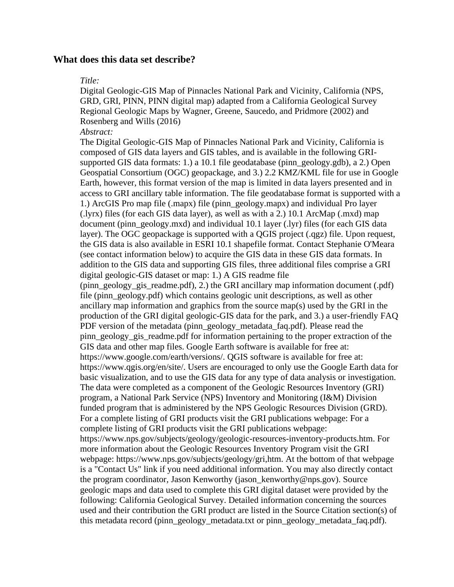### **What does this data set describe?**

#### *Title:*

Digital Geologic-GIS Map of Pinnacles National Park and Vicinity, California (NPS, GRD, GRI, PINN, PINN digital map) adapted from a California Geological Survey Regional Geologic Maps by Wagner, Greene, Saucedo, and Pridmore (2002) and Rosenberg and Wills (2016)

#### *Abstract:*

The Digital Geologic-GIS Map of Pinnacles National Park and Vicinity, California is composed of GIS data layers and GIS tables, and is available in the following GRIsupported GIS data formats: 1.) a 10.1 file geodatabase (pinn\_geology.gdb), a 2.) Open Geospatial Consortium (OGC) geopackage, and 3.) 2.2 KMZ/KML file for use in Google Earth, however, this format version of the map is limited in data layers presented and in access to GRI ancillary table information. The file geodatabase format is supported with a 1.) ArcGIS Pro map file (.mapx) file (pinn\_geology.mapx) and individual Pro layer (.lyrx) files (for each GIS data layer), as well as with a 2.) 10.1 ArcMap (.mxd) map document (pinn\_geology.mxd) and individual 10.1 layer (.lyr) files (for each GIS data layer). The OGC geopackage is supported with a QGIS project (.qgz) file. Upon request, the GIS data is also available in ESRI 10.1 shapefile format. Contact Stephanie O'Meara (see contact information below) to acquire the GIS data in these GIS data formats. In addition to the GIS data and supporting GIS files, three additional files comprise a GRI digital geologic-GIS dataset or map: 1.) A GIS readme file (pinn\_geology\_gis\_readme.pdf), 2.) the GRI ancillary map information document (.pdf) file (pinn\_geology.pdf) which contains geologic unit descriptions, as well as other ancillary map information and graphics from the source map(s) used by the GRI in the production of the GRI digital geologic-GIS data for the park, and 3.) a user-friendly FAQ PDF version of the metadata (pinn\_geology\_metadata\_faq.pdf). Please read the pinn\_geology\_gis\_readme.pdf for information pertaining to the proper extraction of the GIS data and other map files. Google Earth software is available for free at: https://www.google.com/earth/versions/. QGIS software is available for free at: https://www.qgis.org/en/site/. Users are encouraged to only use the Google Earth data for basic visualization, and to use the GIS data for any type of data analysis or investigation. The data were completed as a component of the Geologic Resources Inventory (GRI) program, a National Park Service (NPS) Inventory and Monitoring (I&M) Division funded program that is administered by the NPS Geologic Resources Division (GRD). For a complete listing of GRI products visit the GRI publications webpage: For a complete listing of GRI products visit the GRI publications webpage: https://www.nps.gov/subjects/geology/geologic-resources-inventory-products.htm. For more information about the Geologic Resources Inventory Program visit the GRI webpage: https://www.nps.gov/subjects/geology/gri,htm. At the bottom of that webpage is a "Contact Us" link if you need additional information. You may also directly contact the program coordinator, Jason Kenworthy (jason\_kenworthy@nps.gov). Source geologic maps and data used to complete this GRI digital dataset were provided by the following: California Geological Survey. Detailed information concerning the sources used and their contribution the GRI product are listed in the Source Citation section(s) of this metadata record (pinn\_geology\_metadata.txt or pinn\_geology\_metadata\_faq.pdf).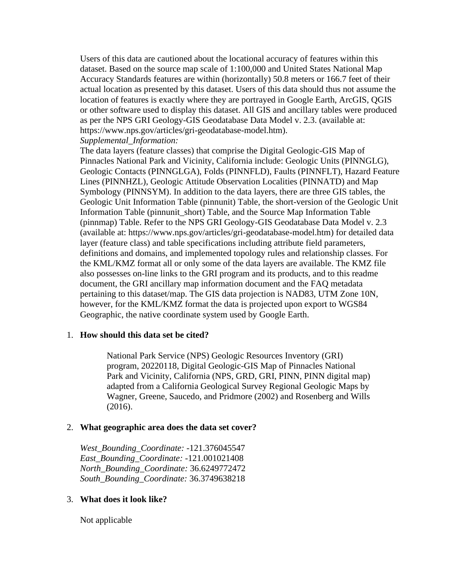Users of this data are cautioned about the locational accuracy of features within this dataset. Based on the source map scale of 1:100,000 and United States National Map Accuracy Standards features are within (horizontally) 50.8 meters or 166.7 feet of their actual location as presented by this dataset. Users of this data should thus not assume the location of features is exactly where they are portrayed in Google Earth, ArcGIS, QGIS or other software used to display this dataset. All GIS and ancillary tables were produced as per the NPS GRI Geology-GIS Geodatabase Data Model v. 2.3. (available at: https://www.nps.gov/articles/gri-geodatabase-model.htm).

*Supplemental\_Information:*

The data layers (feature classes) that comprise the Digital Geologic-GIS Map of Pinnacles National Park and Vicinity, California include: Geologic Units (PINNGLG), Geologic Contacts (PINNGLGA), Folds (PINNFLD), Faults (PINNFLT), Hazard Feature Lines (PINNHZL), Geologic Attitude Observation Localities (PINNATD) and Map Symbology (PINNSYM). In addition to the data layers, there are three GIS tables, the Geologic Unit Information Table (pinnunit) Table, the short-version of the Geologic Unit Information Table (pinnunit\_short) Table, and the Source Map Information Table (pinnmap) Table. Refer to the NPS GRI Geology-GIS Geodatabase Data Model v. 2.3 (available at: https://www.nps.gov/articles/gri-geodatabase-model.htm) for detailed data layer (feature class) and table specifications including attribute field parameters, definitions and domains, and implemented topology rules and relationship classes. For the KML/KMZ format all or only some of the data layers are available. The KMZ file also possesses on-line links to the GRI program and its products, and to this readme document, the GRI ancillary map information document and the FAQ metadata pertaining to this dataset/map. The GIS data projection is NAD83, UTM Zone 10N, however, for the KML/KMZ format the data is projected upon export to WGS84 Geographic, the native coordinate system used by Google Earth.

### <span id="page-2-0"></span>1. **How should this data set be cited?**

National Park Service (NPS) Geologic Resources Inventory (GRI) program, 20220118, Digital Geologic-GIS Map of Pinnacles National Park and Vicinity, California (NPS, GRD, GRI, PINN, PINN digital map) adapted from a California Geological Survey Regional Geologic Maps by Wagner, Greene, Saucedo, and Pridmore (2002) and Rosenberg and Wills (2016).

### <span id="page-2-1"></span>2. **What geographic area does the data set cover?**

*West\_Bounding\_Coordinate:* -121.376045547 *East\_Bounding\_Coordinate:* -121.001021408 *North\_Bounding\_Coordinate:* 36.6249772472 *South\_Bounding\_Coordinate:* 36.3749638218

### <span id="page-2-2"></span>3. **What does it look like?**

Not applicable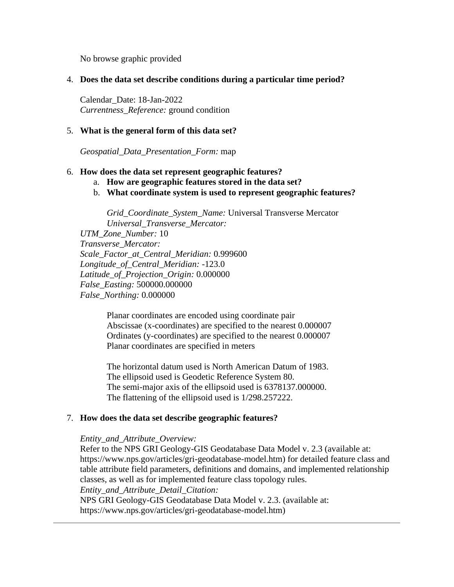No browse graphic provided

### <span id="page-3-0"></span>4. **Does the data set describe conditions during a particular time period?**

Calendar\_Date: 18-Jan-2022 *Currentness\_Reference:* ground condition

### <span id="page-3-1"></span>5. **What is the general form of this data set?**

*Geospatial\_Data\_Presentation\_Form:* map

#### <span id="page-3-2"></span>6. **How does the data set represent geographic features?**

- a. **How are geographic features stored in the data set?**
- b. **What coordinate system is used to represent geographic features?**

*Grid\_Coordinate\_System\_Name:* Universal Transverse Mercator *Universal\_Transverse\_Mercator:*

*UTM\_Zone\_Number:* 10 *Transverse\_Mercator: Scale\_Factor\_at\_Central\_Meridian:* 0.999600 *Longitude\_of\_Central\_Meridian:* -123.0 *Latitude\_of\_Projection\_Origin:* 0.000000 *False\_Easting:* 500000.000000 *False\_Northing:* 0.000000

> Planar coordinates are encoded using coordinate pair Abscissae (x-coordinates) are specified to the nearest 0.000007 Ordinates (y-coordinates) are specified to the nearest 0.000007 Planar coordinates are specified in meters

> The horizontal datum used is North American Datum of 1983. The ellipsoid used is Geodetic Reference System 80. The semi-major axis of the ellipsoid used is 6378137.000000. The flattening of the ellipsoid used is 1/298.257222.

### <span id="page-3-3"></span>7. **How does the data set describe geographic features?**

#### *Entity\_and\_Attribute\_Overview:*

Refer to the NPS GRI Geology-GIS Geodatabase Data Model v. 2.3 (available at: https://www.nps.gov/articles/gri-geodatabase-model.htm) for detailed feature class and table attribute field parameters, definitions and domains, and implemented relationship classes, as well as for implemented feature class topology rules. *Entity\_and\_Attribute\_Detail\_Citation:* NPS GRI Geology-GIS Geodatabase Data Model v. 2.3. (available at: https://www.nps.gov/articles/gri-geodatabase-model.htm)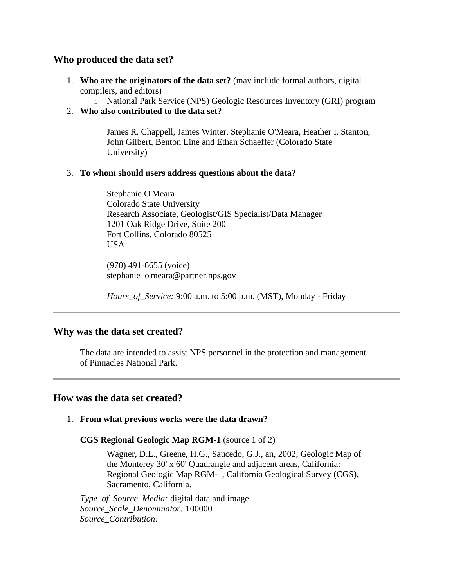# <span id="page-4-0"></span>**Who produced the data set?**

- <span id="page-4-1"></span>1. **Who are the originators of the data set?** (may include formal authors, digital compilers, and editors)
	- o National Park Service (NPS) Geologic Resources Inventory (GRI) program
- <span id="page-4-2"></span>2. **Who also contributed to the data set?**

James R. Chappell, James Winter, Stephanie O'Meara, Heather I. Stanton, John Gilbert, Benton Line and Ethan Schaeffer (Colorado State University)

## <span id="page-4-3"></span>3. **To whom should users address questions about the data?**

Stephanie O'Meara Colorado State University Research Associate, Geologist/GIS Specialist/Data Manager 1201 Oak Ridge Drive, Suite 200 Fort Collins, Colorado 80525 USA

(970) 491-6655 (voice) stephanie\_o'meara@partner.nps.gov

*Hours\_of\_Service:* 9:00 a.m. to 5:00 p.m. (MST), Monday - Friday

# <span id="page-4-4"></span>**Why was the data set created?**

The data are intended to assist NPS personnel in the protection and management of Pinnacles National Park.

# <span id="page-4-5"></span>**How was the data set created?**

# <span id="page-4-6"></span>1. **From what previous works were the data drawn?**

**CGS Regional Geologic Map RGM-1** (source 1 of 2)

Wagner, D.L., Greene, H.G., Saucedo, G.J., an, 2002, Geologic Map of the Monterey 30' x 60' Quadrangle and adjacent areas, California: Regional Geologic Map RGM-1, California Geological Survey (CGS), Sacramento, California.

*Type\_of\_Source\_Media:* digital data and image *Source\_Scale\_Denominator:* 100000 *Source\_Contribution:*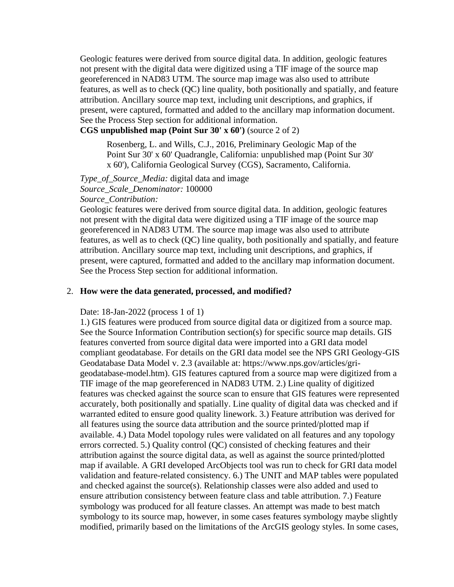Geologic features were derived from source digital data. In addition, geologic features not present with the digital data were digitized using a TIF image of the source map georeferenced in NAD83 UTM. The source map image was also used to attribute features, as well as to check (QC) line quality, both positionally and spatially, and feature attribution. Ancillary source map text, including unit descriptions, and graphics, if present, were captured, formatted and added to the ancillary map information document. See the Process Step section for additional information.

**CGS unpublished map (Point Sur 30' x 60')** (source 2 of 2)

Rosenberg, L. and Wills, C.J., 2016, Preliminary Geologic Map of the Point Sur 30' x 60' Quadrangle, California: unpublished map (Point Sur 30' x 60'), California Geological Survey (CGS), Sacramento, California.

*Type\_of\_Source\_Media:* digital data and image *Source\_Scale\_Denominator:* 100000 *Source\_Contribution:*

Geologic features were derived from source digital data. In addition, geologic features not present with the digital data were digitized using a TIF image of the source map georeferenced in NAD83 UTM. The source map image was also used to attribute features, as well as to check (QC) line quality, both positionally and spatially, and feature attribution. Ancillary source map text, including unit descriptions, and graphics, if present, were captured, formatted and added to the ancillary map information document. See the Process Step section for additional information.

#### <span id="page-5-0"></span>2. **How were the data generated, processed, and modified?**

Date: 18-Jan-2022 (process 1 of 1)

1.) GIS features were produced from source digital data or digitized from a source map. See the Source Information Contribution section(s) for specific source map details. GIS features converted from source digital data were imported into a GRI data model compliant geodatabase. For details on the GRI data model see the NPS GRI Geology-GIS Geodatabase Data Model v. 2.3 (available at: https://www.nps.gov/articles/grigeodatabase-model.htm). GIS features captured from a source map were digitized from a TIF image of the map georeferenced in NAD83 UTM. 2.) Line quality of digitized features was checked against the source scan to ensure that GIS features were represented accurately, both positionally and spatially. Line quality of digital data was checked and if warranted edited to ensure good quality linework. 3.) Feature attribution was derived for all features using the source data attribution and the source printed/plotted map if available. 4.) Data Model topology rules were validated on all features and any topology errors corrected. 5.) Quality control (QC) consisted of checking features and their attribution against the source digital data, as well as against the source printed/plotted map if available. A GRI developed ArcObjects tool was run to check for GRI data model validation and feature-related consistency. 6.) The UNIT and MAP tables were populated and checked against the source(s). Relationship classes were also added and used to ensure attribution consistency between feature class and table attribution. 7.) Feature symbology was produced for all feature classes. An attempt was made to best match symbology to its source map, however, in some cases features symbology maybe slightly modified, primarily based on the limitations of the ArcGIS geology styles. In some cases,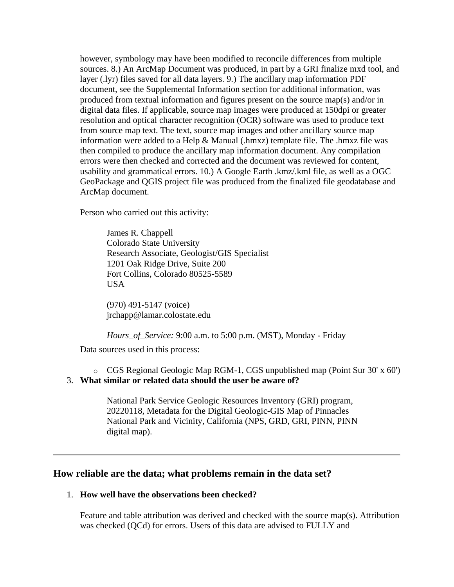however, symbology may have been modified to reconcile differences from multiple sources. 8.) An ArcMap Document was produced, in part by a GRI finalize mxd tool, and layer (.lyr) files saved for all data layers. 9.) The ancillary map information PDF document, see the Supplemental Information section for additional information, was produced from textual information and figures present on the source map(s) and/or in digital data files. If applicable, source map images were produced at 150dpi or greater resolution and optical character recognition (OCR) software was used to produce text from source map text. The text, source map images and other ancillary source map information were added to a Help & Manual (.hmxz) template file. The .hmxz file was then compiled to produce the ancillary map information document. Any compilation errors were then checked and corrected and the document was reviewed for content, usability and grammatical errors. 10.) A Google Earth .kmz/.kml file, as well as a OGC GeoPackage and QGIS project file was produced from the finalized file geodatabase and ArcMap document.

Person who carried out this activity:

James R. Chappell Colorado State University Research Associate, Geologist/GIS Specialist 1201 Oak Ridge Drive, Suite 200 Fort Collins, Colorado 80525-5589 USA

(970) 491-5147 (voice) jrchapp@lamar.colostate.edu

*Hours\_of\_Service:* 9:00 a.m. to 5:00 p.m. (MST), Monday - Friday

Data sources used in this process:

<span id="page-6-0"></span>o CGS Regional Geologic Map RGM-1, CGS unpublished map (Point Sur 30' x 60') 3. **What similar or related data should the user be aware of?**

National Park Service Geologic Resources Inventory (GRI) program, 20220118, Metadata for the Digital Geologic-GIS Map of Pinnacles National Park and Vicinity, California (NPS, GRD, GRI, PINN, PINN digital map).

### <span id="page-6-1"></span>**How reliable are the data; what problems remain in the data set?**

## <span id="page-6-2"></span>1. **How well have the observations been checked?**

Feature and table attribution was derived and checked with the source map(s). Attribution was checked (QCd) for errors. Users of this data are advised to FULLY and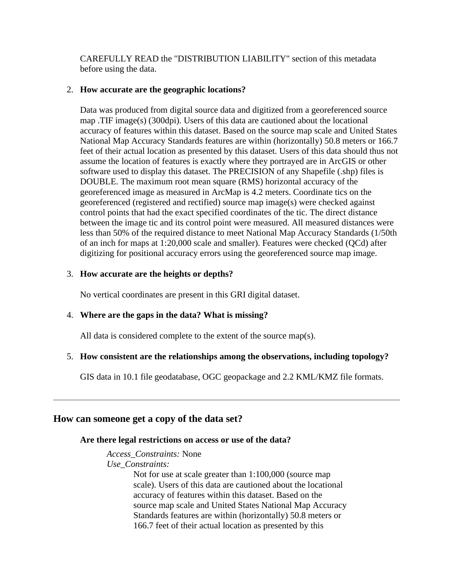CAREFULLY READ the "DISTRIBUTION LIABILITY" section of this metadata before using the data.

## <span id="page-7-0"></span>2. **How accurate are the geographic locations?**

Data was produced from digital source data and digitized from a georeferenced source map .TIF image(s) (300dpi). Users of this data are cautioned about the locational accuracy of features within this dataset. Based on the source map scale and United States National Map Accuracy Standards features are within (horizontally) 50.8 meters or 166.7 feet of their actual location as presented by this dataset. Users of this data should thus not assume the location of features is exactly where they portrayed are in ArcGIS or other software used to display this dataset. The PRECISION of any Shapefile (.shp) files is DOUBLE. The maximum root mean square (RMS) horizontal accuracy of the georeferenced image as measured in ArcMap is 4.2 meters. Coordinate tics on the georeferenced (registered and rectified) source map image(s) were checked against control points that had the exact specified coordinates of the tic. The direct distance between the image tic and its control point were measured. All measured distances were less than 50% of the required distance to meet National Map Accuracy Standards (1/50th of an inch for maps at 1:20,000 scale and smaller). Features were checked (QCd) after digitizing for positional accuracy errors using the georeferenced source map image.

## <span id="page-7-1"></span>3. **How accurate are the heights or depths?**

No vertical coordinates are present in this GRI digital dataset.

# <span id="page-7-2"></span>4. **Where are the gaps in the data? What is missing?**

All data is considered complete to the extent of the source map(s).

# <span id="page-7-3"></span>5. **How consistent are the relationships among the observations, including topology?**

GIS data in 10.1 file geodatabase, OGC geopackage and 2.2 KML/KMZ file formats.

# <span id="page-7-5"></span><span id="page-7-4"></span>**How can someone get a copy of the data set?**

### **Are there legal restrictions on access or use of the data?**

*Access\_Constraints:* None *Use\_Constraints:*

> Not for use at scale greater than 1:100,000 (source map scale). Users of this data are cautioned about the locational accuracy of features within this dataset. Based on the source map scale and United States National Map Accuracy Standards features are within (horizontally) 50.8 meters or 166.7 feet of their actual location as presented by this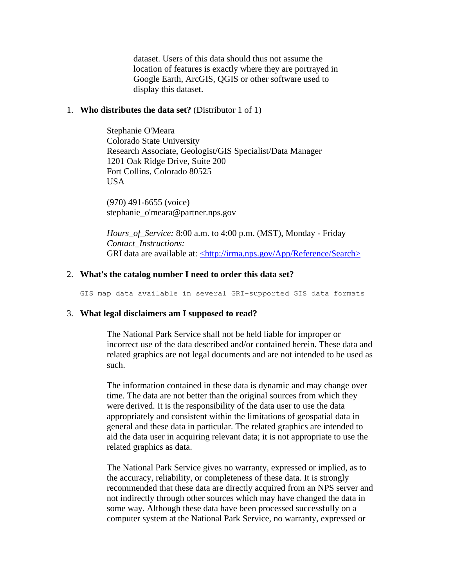dataset. Users of this data should thus not assume the location of features is exactly where they are portrayed in Google Earth, ArcGIS, QGIS or other software used to display this dataset.

### <span id="page-8-0"></span>1. **Who distributes the data set?** (Distributor 1 of 1)

Stephanie O'Meara Colorado State University Research Associate, Geologist/GIS Specialist/Data Manager 1201 Oak Ridge Drive, Suite 200 Fort Collins, Colorado 80525 USA

(970) 491-6655 (voice) stephanie\_o'meara@partner.nps.gov

*Hours\_of\_Service:* 8:00 a.m. to 4:00 p.m. (MST), Monday - Friday *Contact\_Instructions:* GRI data are available at: [<http://irma.nps.gov/App/Reference/Search>](http://irma.nps.gov/App/Reference/Search)

### <span id="page-8-1"></span>2. **What's the catalog number I need to order this data set?**

GIS map data available in several GRI-supported GIS data formats

#### <span id="page-8-2"></span>3. **What legal disclaimers am I supposed to read?**

The National Park Service shall not be held liable for improper or incorrect use of the data described and/or contained herein. These data and related graphics are not legal documents and are not intended to be used as such.

The information contained in these data is dynamic and may change over time. The data are not better than the original sources from which they were derived. It is the responsibility of the data user to use the data appropriately and consistent within the limitations of geospatial data in general and these data in particular. The related graphics are intended to aid the data user in acquiring relevant data; it is not appropriate to use the related graphics as data.

The National Park Service gives no warranty, expressed or implied, as to the accuracy, reliability, or completeness of these data. It is strongly recommended that these data are directly acquired from an NPS server and not indirectly through other sources which may have changed the data in some way. Although these data have been processed successfully on a computer system at the National Park Service, no warranty, expressed or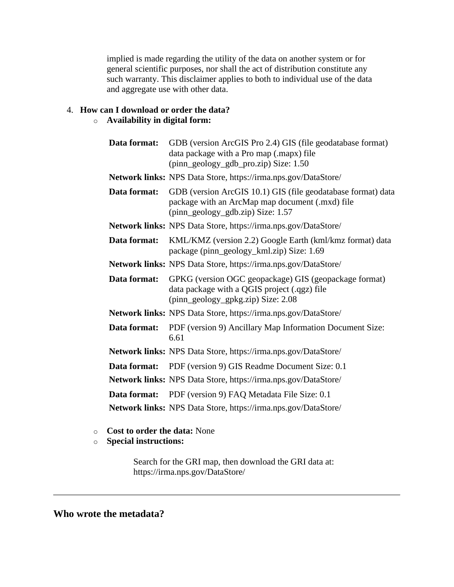implied is made regarding the utility of the data on another system or for general scientific purposes, nor shall the act of distribution constitute any such warranty. This disclaimer applies to both to individual use of the data and aggregate use with other data.

# <span id="page-9-0"></span>4. **How can I download or order the data?**

## o **Availability in digital form:**

| Data format: | GDB (version ArcGIS Pro 2.4) GIS (file geodatabase format)<br>data package with a Pro map (.mapx) file<br>(pinn_geology_gdb_pro.zip) Size: 1.50      |
|--------------|------------------------------------------------------------------------------------------------------------------------------------------------------|
|              | Network links: NPS Data Store, https://irma.nps.gov/DataStore/                                                                                       |
| Data format: | GDB (version ArcGIS 10.1) GIS (file geodatabase format) data<br>package with an ArcMap map document (.mxd) file<br>(pinn_geology_gdb.zip) Size: 1.57 |
|              | Network links: NPS Data Store, https://irma.nps.gov/DataStore/                                                                                       |
| Data format: | KML/KMZ (version 2.2) Google Earth (kml/kmz format) data<br>package (pinn_geology_kml.zip) Size: 1.69                                                |
|              | <b>Network links:</b> NPS Data Store, https://irma.nps.gov/DataStore/                                                                                |
| Data format: | GPKG (version OGC geopackage) GIS (geopackage format)<br>data package with a QGIS project (.qgz) file<br>(pinn_geology_gpkg.zip) Size: 2.08          |
|              | Network links: NPS Data Store, https://irma.nps.gov/DataStore/                                                                                       |
| Data format: | PDF (version 9) Ancillary Map Information Document Size:<br>6.61                                                                                     |
|              | Network links: NPS Data Store, https://irma.nps.gov/DataStore/                                                                                       |
|              | <b>Data format:</b> PDF (version 9) GIS Readme Document Size: 0.1                                                                                    |
|              | Network links: NPS Data Store, https://irma.nps.gov/DataStore/                                                                                       |
| Data format: | PDF (version 9) FAQ Metadata File Size: 0.1                                                                                                          |
|              | Network links: NPS Data Store, https://irma.nps.gov/DataStore/                                                                                       |

- o **Cost to order the data:** None
- <span id="page-9-1"></span>o **Special instructions:**

Search for the GRI map, then download the GRI data at: https://irma.nps.gov/DataStore/